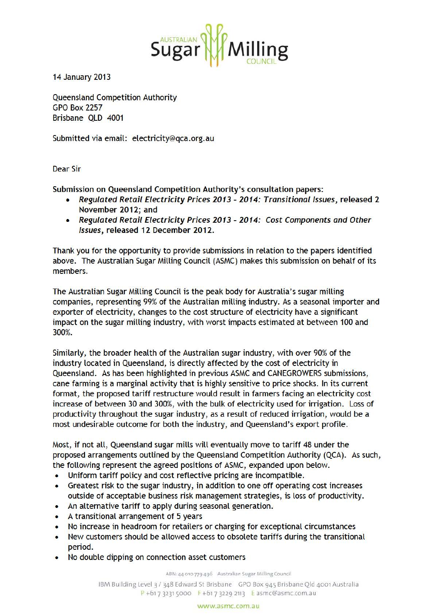

14 January 2013

Queensland Competition Authority GPO Box 2257 Brisbane QLD 4001

Submitted via email: electricity@qca.org.au

Dear Sir

Submission on Queensland Competition Authority's consultation papers:

- Regulated Retail Electricity Prices 2013- 2014: Transitional Issues, released 2 November 2012; and
- Regulated Retail Electricity Prices 2013-2014: Cost Components and Other Issues, released 12 December 2012.

Thank you for the opportunity to provide submissions in relation to the papers identified above. The Australian Sugar Milling Council (ASMC) makes this submission on behalf of its members.

The Australian Sugar Milling Council is the peak body for Australia's sugar milling companies, representing 99% of the Australian milling industry. As a seasonal importer and exporter of electricity, changes to the cost structure of electricity have a significant impact on the sugar milling industry, with worst impacts estimated at between 100 and 300%.

Similarly, the broader health of the Australian sugar industry, with over 90% of the industry located in Queensland, is directly affected by the cost of electricity in Queensland. As has been highlighted in previous ASMC and CANEGROWERS submissions, cane farming is a marginal activity that is highly sensitive to price shocks. In its current format, the proposed tariff restructure would result in farmers facing an electricity cost increase of between 30 and 300%, with the bulk of electricity used for irrigation. Loss of productivity throughout the sugar industry, as a result of reduced irrigation, would be a most undesirable outcome for both the industry, and Queensland's export profile.

Most, if not all, Queensland sugar mills will eventually move to tariff 48 under the proposed arrangements outlined by the Queensland Competition Authority (QCA). As such, the following represent the agreed positions of ASMC, expanded upon below.

- Uniform tariff policy and cost reflective pricing are incompatible.
- Greatest risk to the sugar industry, in addition to one off operating cost increases outside of acceptable business risk management strategies, is loss of productivity.
- An alternative tariff to apply during seasonal generation.
- A transitional arrangement of 5 years
- No increase in headroom for retailers or charging for exceptional circumstances
- New customers should be allowed access to obsolete tariffs during the transitional period.
- No double dipping on connection asset customers

ABN· 44010 779 496 Australian Sugar Milling Council

IBM Building Level 3 / 348 Edward St Brisbane GPO Box 945 Brisbane Qld 4001 Australia  $P + 61732315000$  F +61 7 3229 2113 E asmc@asmc.com.au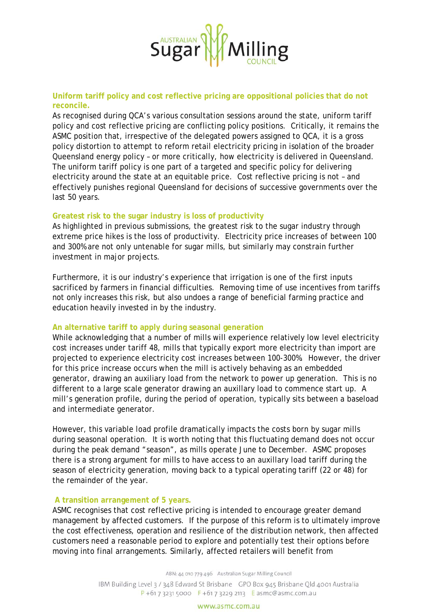

**Uniform tariff policy and cost reflective pricing are oppositional policies that do not reconcile.** 

As recognised during QCA's various consultation sessions around the state, uniform tariff policy and cost reflective pricing are conflicting policy positions. Critically, it remains the ASMC position that, irrespective of the delegated powers assigned to QCA, it is a gross policy distortion to attempt to reform retail electricity pricing in isolation of the broader Queensland energy policy – or more critically, how electricity is delivered in Queensland. The uniform tariff policy is one part of a targeted and specific policy for delivering electricity around the state at an equitable price. Cost reflective pricing is not – and effectively punishes regional Queensland for decisions of successive governments over the last 50 years.

### **Greatest risk to the sugar industry is loss of productivity**

As highlighted in previous submissions, the greatest risk to the sugar industry through extreme price hikes is the loss of productivity. Electricity price increases of between 100 and 300% are not only untenable for sugar mills, but similarly may constrain further investment in major projects.

Furthermore, it is our industry's experience that irrigation is one of the first inputs sacrificed by farmers in financial difficulties. Removing time of use incentives from tariffs not only increases this risk, but also undoes a range of beneficial farming practice and education heavily invested in by the industry.

#### **An alternative tariff to apply during seasonal generation**

While acknowledging that a number of mills will experience relatively low level electricity cost increases under tariff 48, mills that typically export more electricity than import are projected to experience electricity cost increases between 100-300%. However, the driver for this price increase occurs when the mill is actively behaving as an embedded generator, drawing an auxiliary load from the network to power up generation. This is no different to a large scale generator drawing an auxillary load to commence start up. A mill's generation profile, during the period of operation, typically sits between a baseload and intermediate generator.

However, this variable load profile dramatically impacts the costs born by sugar mills during seasonal operation. It is worth noting that this fluctuating demand does not occur during the peak demand "season", as mills operate June to December. ASMC proposes there is a strong argument for mills to have access to an auxillary load tariff during the season of electricity generation, moving back to a typical operating tariff (22 or 48) for the remainder of the year.

### **A transition arrangement of 5 years.**

ASMC recognises that cost reflective pricing is intended to encourage greater demand management by affected customers. If the purpose of this reform is to ultimately improve the cost effectiveness, operation and resilience of the distribution network, then affected customers need a reasonable period to explore and potentially test their options before moving into final arrangements. Similarly, affected retailers will benefit from

ABN: 44 010 779 496 Australian Sugar Milling Council

IBM Building Level 3 / 348 Edward St Brisbane GPO Box 945 Brisbane Old 4001 Australia  $P + 61732315000$  F + 61 7 3229 2113 E asmc@asmc.com.au

#### www.asmc.com.au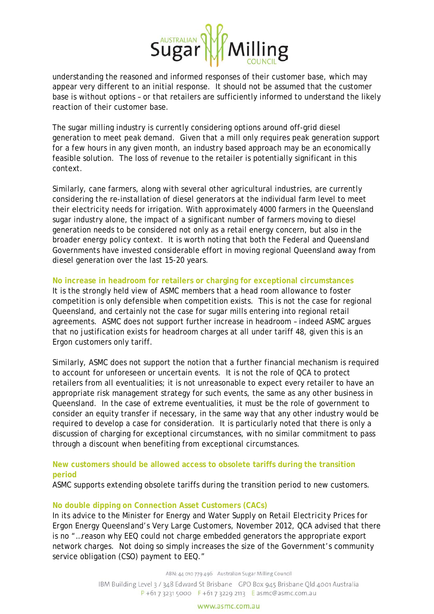

understanding the reasoned and informed responses of their customer base, which may appear very different to an initial response. It should not be assumed that the customer base is without options – or that retailers are sufficiently informed to understand the likely reaction of their customer base.

The sugar milling industry is currently considering options around off-grid diesel generation to meet peak demand. Given that a mill only requires peak generation support for a few hours in any given month, an industry based approach may be an economically feasible solution. The loss of revenue to the retailer is potentially significant in this context.

Similarly, cane farmers, along with several other agricultural industries, are currently considering the re-installation of diesel generators at the individual farm level to meet their electricity needs for irrigation. With approximately 4000 farmers in the Queensland sugar industry alone, the impact of a significant number of farmers moving to diesel generation needs to be considered not only as a retail energy concern, but also in the broader energy policy context. It is worth noting that both the Federal and Queensland Governments have invested considerable effort in moving regional Queensland away from diesel generation over the last 15-20 years.

## **No increase in headroom for retailers or charging for exceptional circumstances**

It is the strongly held view of ASMC members that a head room allowance to foster competition is only defensible when competition exists. This is not the case for regional Queensland, and certainly not the case for sugar mills entering into regional retail agreements. ASMC does not support further increase in headroom – indeed ASMC argues that no justification exists for headroom charges at all under tariff 48, given this is an Ergon customers only tariff.

Similarly, ASMC does not support the notion that a further financial mechanism is required to account for unforeseen or uncertain events. It is not the role of QCA to protect retailers from all eventualities; it is not unreasonable to expect every retailer to have an appropriate risk management strategy for such events, the same as any other business in Queensland. In the case of extreme eventualities, it must be the role of government to consider an equity transfer if necessary, in the same way that any other industry would be required to develop a case for consideration. It is particularly noted that there is only a discussion of charging for exceptional circumstances, with no similar commitment to pass through a discount when benefiting from exceptional circumstances.

# **New customers should be allowed access to obsolete tariffs during the transition period**

ASMC supports extending obsolete tariffs during the transition period to new customers.

## **No double dipping on Connection Asset Customers (CACs)**

In its advice to the Minister for Energy and Water Supply on *Retail Electricity Prices for Ergon Energy Queensland's Very Large Customers*, November 2012, QCA advised that there is no "…reason why EEQ could not charge embedded generators the appropriate export network charges. Not doing so simply increases the size of the Government's community service obligation (CSO) payment to EEQ."

ABN: 44 010 779 496 Australian Sugar Milling Council

IBM Building Level 3 / 348 Edward St Brisbane GPO Box 945 Brisbane Old 4001 Australia  $P + 61732315000$  F + 61 7 3229 2113 E asmc@asmc.com.au

#### www.asmc.com.au